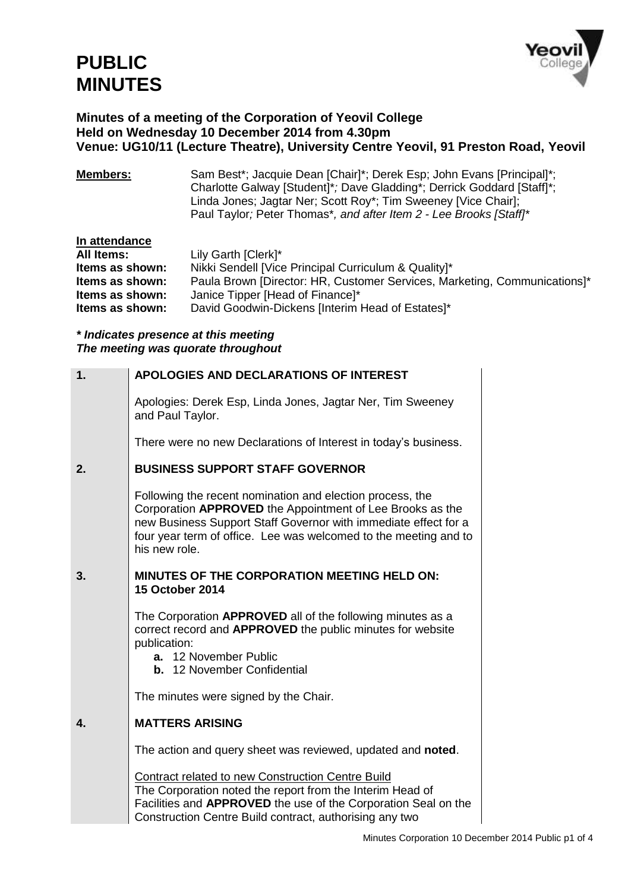

#### **Minutes of a meeting of the Corporation of Yeovil College Held on Wednesday 10 December 2014 from 4.30pm Venue: UG10/11 (Lecture Theatre), University Centre Yeovil, 91 Preston Road, Yeovil**

**Members:** Sam Best\*; Jacquie Dean [Chair]\*; Derek Esp; John Evans [Principal]\*; Charlotte Galway [Student]\**;* Dave Gladding\*; Derrick Goddard [Staff]\*; Linda Jones; Jagtar Ner; Scott Roy\*; Tim Sweeney [Vice Chair]; Paul Taylor*;* Peter Thomas\**, and after Item 2 - Lee Brooks [Staff]\**

| In attendance     |                                                                           |
|-------------------|---------------------------------------------------------------------------|
| <b>All Items:</b> | Lily Garth [Clerk]*                                                       |
| Items as shown:   | Nikki Sendell [Vice Principal Curriculum & Quality]*                      |
| Items as shown:   | Paula Brown [Director: HR, Customer Services, Marketing, Communications]* |
| Items as shown:   | Janice Tipper [Head of Finance]*                                          |
| Items as shown:   | David Goodwin-Dickens [Interim Head of Estates]*                          |

#### *\* Indicates presence at this meeting The meeting was quorate throughout*

| 1. | APOLOGIES AND DECLARATIONS OF INTEREST                                                                                                                                                                                                                                         |
|----|--------------------------------------------------------------------------------------------------------------------------------------------------------------------------------------------------------------------------------------------------------------------------------|
|    | Apologies: Derek Esp, Linda Jones, Jagtar Ner, Tim Sweeney<br>and Paul Taylor.                                                                                                                                                                                                 |
|    | There were no new Declarations of Interest in today's business.                                                                                                                                                                                                                |
| 2. | <b>BUSINESS SUPPORT STAFF GOVERNOR</b>                                                                                                                                                                                                                                         |
|    | Following the recent nomination and election process, the<br>Corporation APPROVED the Appointment of Lee Brooks as the<br>new Business Support Staff Governor with immediate effect for a<br>four year term of office. Lee was welcomed to the meeting and to<br>his new role. |
| 3. | <b>MINUTES OF THE CORPORATION MEETING HELD ON:</b><br><b>15 October 2014</b>                                                                                                                                                                                                   |
|    | The Corporation APPROVED all of the following minutes as a<br>correct record and APPROVED the public minutes for website<br>publication:<br>a. 12 November Public<br><b>b.</b> 12 November Confidential                                                                        |
|    | The minutes were signed by the Chair.                                                                                                                                                                                                                                          |
| 4. | <b>MATTERS ARISING</b>                                                                                                                                                                                                                                                         |
|    | The action and query sheet was reviewed, updated and noted.                                                                                                                                                                                                                    |
|    | <b>Contract related to new Construction Centre Build</b><br>The Corporation noted the report from the Interim Head of<br>Facilities and APPROVED the use of the Corporation Seal on the<br>Construction Centre Build contract, authorising any two                             |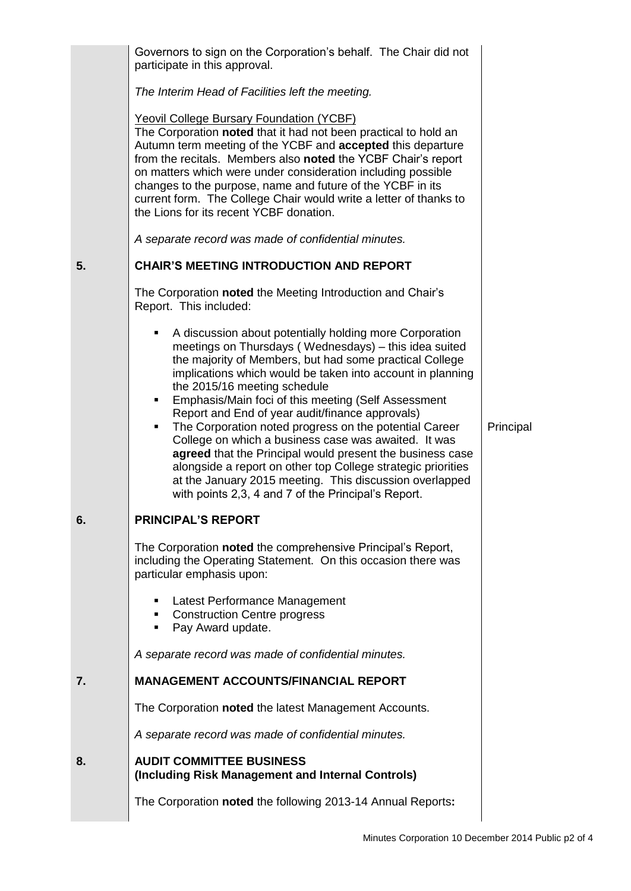|    | Governors to sign on the Corporation's behalf. The Chair did not<br>participate in this approval.                                                                                                                                                                                                                                                                                                                                                                                                                                                                                                                                                                                                                                                                   |           |
|----|---------------------------------------------------------------------------------------------------------------------------------------------------------------------------------------------------------------------------------------------------------------------------------------------------------------------------------------------------------------------------------------------------------------------------------------------------------------------------------------------------------------------------------------------------------------------------------------------------------------------------------------------------------------------------------------------------------------------------------------------------------------------|-----------|
|    | The Interim Head of Facilities left the meeting.                                                                                                                                                                                                                                                                                                                                                                                                                                                                                                                                                                                                                                                                                                                    |           |
|    | <b>Yeovil College Bursary Foundation (YCBF)</b><br>The Corporation noted that it had not been practical to hold an<br>Autumn term meeting of the YCBF and accepted this departure<br>from the recitals. Members also noted the YCBF Chair's report<br>on matters which were under consideration including possible<br>changes to the purpose, name and future of the YCBF in its<br>current form. The College Chair would write a letter of thanks to<br>the Lions for its recent YCBF donation.                                                                                                                                                                                                                                                                    |           |
|    | A separate record was made of confidential minutes.                                                                                                                                                                                                                                                                                                                                                                                                                                                                                                                                                                                                                                                                                                                 |           |
| 5. | <b>CHAIR'S MEETING INTRODUCTION AND REPORT</b>                                                                                                                                                                                                                                                                                                                                                                                                                                                                                                                                                                                                                                                                                                                      |           |
|    | The Corporation noted the Meeting Introduction and Chair's<br>Report. This included:                                                                                                                                                                                                                                                                                                                                                                                                                                                                                                                                                                                                                                                                                |           |
|    | A discussion about potentially holding more Corporation<br>٠<br>meetings on Thursdays (Wednesdays) - this idea suited<br>the majority of Members, but had some practical College<br>implications which would be taken into account in planning<br>the 2015/16 meeting schedule<br>Emphasis/Main foci of this meeting (Self Assessment<br>٠<br>Report and End of year audit/finance approvals)<br>The Corporation noted progress on the potential Career<br>٠<br>College on which a business case was awaited. It was<br>agreed that the Principal would present the business case<br>alongside a report on other top College strategic priorities<br>at the January 2015 meeting. This discussion overlapped<br>with points 2,3, 4 and 7 of the Principal's Report. | Principal |
| ნ. | <b>PRINCIPAL'S REPORT</b>                                                                                                                                                                                                                                                                                                                                                                                                                                                                                                                                                                                                                                                                                                                                           |           |
|    | The Corporation noted the comprehensive Principal's Report,<br>including the Operating Statement. On this occasion there was<br>particular emphasis upon:                                                                                                                                                                                                                                                                                                                                                                                                                                                                                                                                                                                                           |           |
|    | Latest Performance Management<br><b>Construction Centre progress</b><br>٠<br>Pay Award update.<br>٠                                                                                                                                                                                                                                                                                                                                                                                                                                                                                                                                                                                                                                                                 |           |
|    | A separate record was made of confidential minutes.                                                                                                                                                                                                                                                                                                                                                                                                                                                                                                                                                                                                                                                                                                                 |           |
| 7. | <b>MANAGEMENT ACCOUNTS/FINANCIAL REPORT</b>                                                                                                                                                                                                                                                                                                                                                                                                                                                                                                                                                                                                                                                                                                                         |           |
|    | The Corporation noted the latest Management Accounts.                                                                                                                                                                                                                                                                                                                                                                                                                                                                                                                                                                                                                                                                                                               |           |
|    | A separate record was made of confidential minutes.                                                                                                                                                                                                                                                                                                                                                                                                                                                                                                                                                                                                                                                                                                                 |           |
| 8. | <b>AUDIT COMMITTEE BUSINESS</b><br>(Including Risk Management and Internal Controls)                                                                                                                                                                                                                                                                                                                                                                                                                                                                                                                                                                                                                                                                                |           |
|    | The Corporation noted the following 2013-14 Annual Reports:                                                                                                                                                                                                                                                                                                                                                                                                                                                                                                                                                                                                                                                                                                         |           |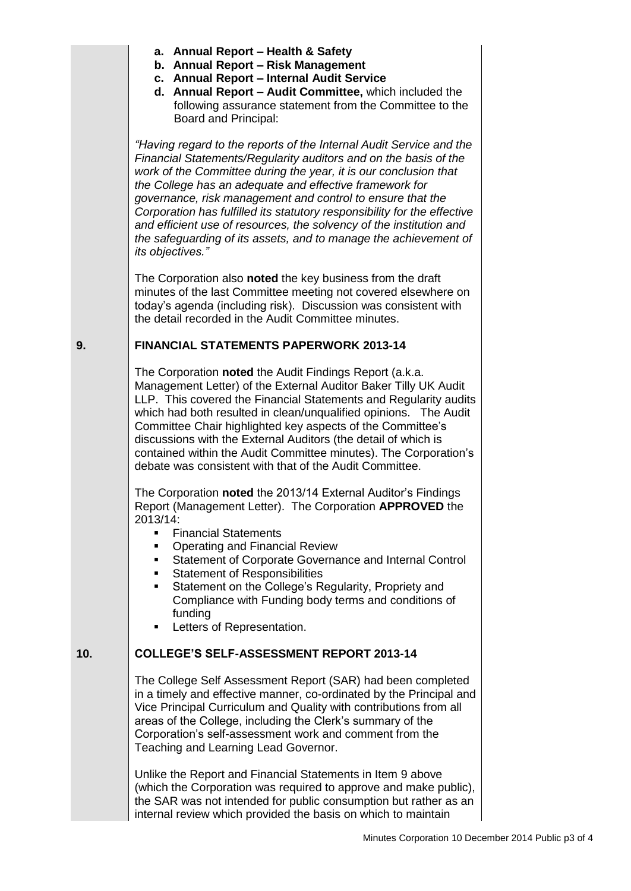- **a. Annual Report – Health & Safety**
- **b. Annual Report – Risk Management**
- **c. Annual Report – Internal Audit Service**
- **d. Annual Report – Audit Committee,** which included the following assurance statement from the Committee to the Board and Principal:

*"Having regard to the reports of the Internal Audit Service and the Financial Statements/Regularity auditors and on the basis of the work of the Committee during the year, it is our conclusion that the College has an adequate and effective framework for governance, risk management and control to ensure that the Corporation has fulfilled its statutory responsibility for the effective and efficient use of resources, the solvency of the institution and the safeguarding of its assets, and to manage the achievement of its objectives."*

The Corporation also **noted** the key business from the draft minutes of the last Committee meeting not covered elsewhere on today's agenda (including risk). Discussion was consistent with the detail recorded in the Audit Committee minutes.

### **9. FINANCIAL STATEMENTS PAPERWORK 2013-14**

The Corporation **noted** the Audit Findings Report (a.k.a. Management Letter) of the External Auditor Baker Tilly UK Audit LLP. This covered the Financial Statements and Regularity audits which had both resulted in clean/unqualified opinions. The Audit Committee Chair highlighted key aspects of the Committee's discussions with the External Auditors (the detail of which is contained within the Audit Committee minutes). The Corporation's debate was consistent with that of the Audit Committee.

The Corporation **noted** the 2013/14 External Auditor's Findings Report (Management Letter). The Corporation **APPROVED** the 2013/14:

- **Financial Statements**
- Operating and Financial Review
- **Statement of Corporate Governance and Internal Control**
- Statement of Responsibilities
- **Statement on the College's Regularity, Propriety and** Compliance with Funding body terms and conditions of funding
- Letters of Representation.

## **10. COLLEGE'S SELF-ASSESSMENT REPORT 2013-14**

The College Self Assessment Report (SAR) had been completed in a timely and effective manner, co-ordinated by the Principal and Vice Principal Curriculum and Quality with contributions from all areas of the College, including the Clerk's summary of the Corporation's self-assessment work and comment from the Teaching and Learning Lead Governor.

Unlike the Report and Financial Statements in Item 9 above (which the Corporation was required to approve and make public), the SAR was not intended for public consumption but rather as an internal review which provided the basis on which to maintain